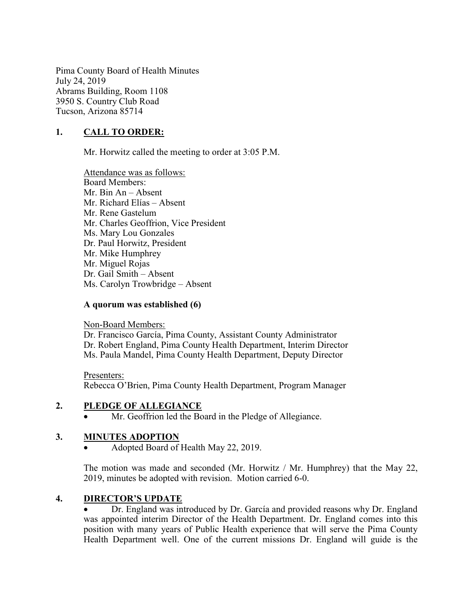Pima County Board of Health Minutes July 24, 2019 Abrams Building, Room 1108 3950 S. Country Club Road Tucson, Arizona 85714

## 1. CALL TO ORDER:

Mr. Horwitz called the meeting to order at 3:05 P.M.

Attendance was as follows: Board Members: Mr. Bin An – Absent Mr. Richard Elías – Absent Mr. Rene Gastelum Mr. Charles Geoffrion, Vice President Ms. Mary Lou Gonzales Dr. Paul Horwitz, President Mr. Mike Humphrey Mr. Miguel Rojas Dr. Gail Smith – Absent Ms. Carolyn Trowbridge – Absent

#### A quorum was established (6)

Non-Board Members:

Dr. Francisco García, Pima County, Assistant County Administrator Dr. Robert England, Pima County Health Department, Interim Director Ms. Paula Mandel, Pima County Health Department, Deputy Director

Presenters: Rebecca O'Brien, Pima County Health Department, Program Manager

#### 2. PLEDGE OF ALLEGIANCE

Mr. Geoffrion led the Board in the Pledge of Allegiance.

## 3. MINUTES ADOPTION

Adopted Board of Health May 22, 2019.

The motion was made and seconded (Mr. Horwitz / Mr. Humphrey) that the May 22, 2019, minutes be adopted with revision. Motion carried 6-0.

#### 4. DIRECTOR'S UPDATE

 Dr. England was introduced by Dr. García and provided reasons why Dr. England was appointed interim Director of the Health Department. Dr. England comes into this position with many years of Public Health experience that will serve the Pima County Health Department well. One of the current missions Dr. England will guide is the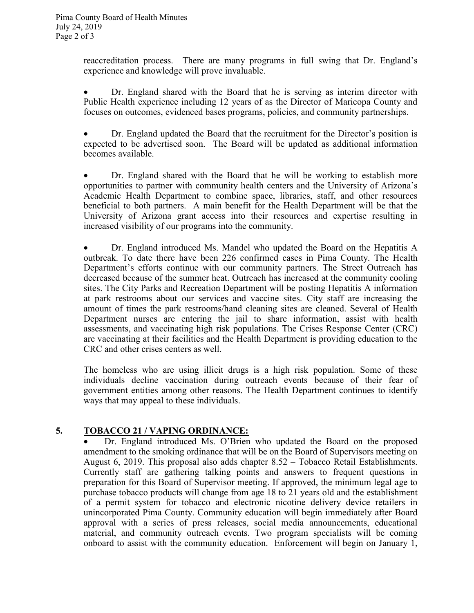reaccreditation process. There are many programs in full swing that Dr. England's experience and knowledge will prove invaluable.

 Dr. England shared with the Board that he is serving as interim director with Public Health experience including 12 years of as the Director of Maricopa County and focuses on outcomes, evidenced bases programs, policies, and community partnerships.

 Dr. England updated the Board that the recruitment for the Director's position is expected to be advertised soon. The Board will be updated as additional information becomes available.

 Dr. England shared with the Board that he will be working to establish more opportunities to partner with community health centers and the University of Arizona's Academic Health Department to combine space, libraries, staff, and other resources beneficial to both partners. A main benefit for the Health Department will be that the University of Arizona grant access into their resources and expertise resulting in increased visibility of our programs into the community.

 Dr. England introduced Ms. Mandel who updated the Board on the Hepatitis A outbreak. To date there have been 226 confirmed cases in Pima County. The Health Department's efforts continue with our community partners. The Street Outreach has decreased because of the summer heat. Outreach has increased at the community cooling sites. The City Parks and Recreation Department will be posting Hepatitis A information at park restrooms about our services and vaccine sites. City staff are increasing the amount of times the park restrooms/hand cleaning sites are cleaned. Several of Health Department nurses are entering the jail to share information, assist with health assessments, and vaccinating high risk populations. The Crises Response Center (CRC) are vaccinating at their facilities and the Health Department is providing education to the CRC and other crises centers as well.

The homeless who are using illicit drugs is a high risk population. Some of these individuals decline vaccination during outreach events because of their fear of government entities among other reasons. The Health Department continues to identify ways that may appeal to these individuals.

## 5. TOBACCO 21 / VAPING ORDINANCE:

 Dr. England introduced Ms. O'Brien who updated the Board on the proposed amendment to the smoking ordinance that will be on the Board of Supervisors meeting on August 6, 2019. This proposal also adds chapter 8.52 – Tobacco Retail Establishments. Currently staff are gathering talking points and answers to frequent questions in preparation for this Board of Supervisor meeting. If approved, the minimum legal age to purchase tobacco products will change from age 18 to 21 years old and the establishment of a permit system for tobacco and electronic nicotine delivery device retailers in unincorporated Pima County. Community education will begin immediately after Board approval with a series of press releases, social media announcements, educational material, and community outreach events. Two program specialists will be coming onboard to assist with the community education. Enforcement will begin on January 1,